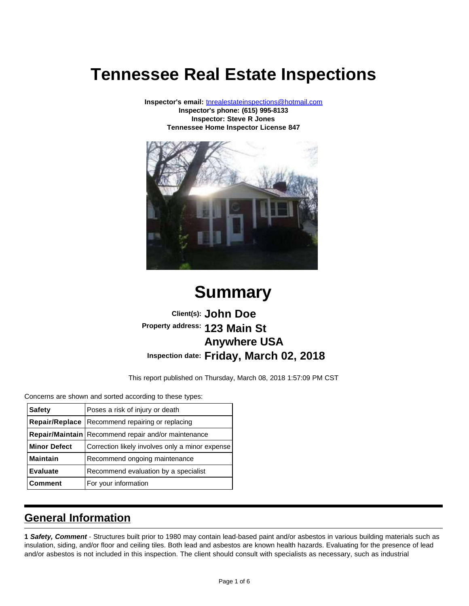# **Tennessee Real Estate Inspections**

**Inspector's email:** [tnrealestateinspections@hotmail.com](mailto:tnrealestateinspections@hotmail.com) **Inspector's phone: (615) 995-8133 Inspector: Steve R Jones Tennessee Home Inspector License 847**



# **Summary**

## **Client(s): John Doe Property address: 123 Main St Anywhere USA Inspection date: Friday, March 02, 2018**

This report published on Thursday, March 08, 2018 1:57:09 PM CST

Concerns are shown and sorted according to these types:

| <b>Safety</b>       | Poses a risk of injury or death                          |
|---------------------|----------------------------------------------------------|
|                     | <b>Repair/Replace</b>   Recommend repairing or replacing |
|                     | Repair/Maintain   Recommend repair and/or maintenance    |
| <b>Minor Defect</b> | Correction likely involves only a minor expense          |
| <b>Maintain</b>     | Recommend ongoing maintenance                            |
| <b>Evaluate</b>     | Recommend evaluation by a specialist                     |
| <b>Comment</b>      | For your information                                     |

### **General Information**

**1 Safety, Comment** - Structures built prior to 1980 may contain lead-based paint and/or asbestos in various building materials such as insulation, siding, and/or floor and ceiling tiles. Both lead and asbestos are known health hazards. Evaluating for the presence of lead and/or asbestos is not included in this inspection. The client should consult with specialists as necessary, such as industrial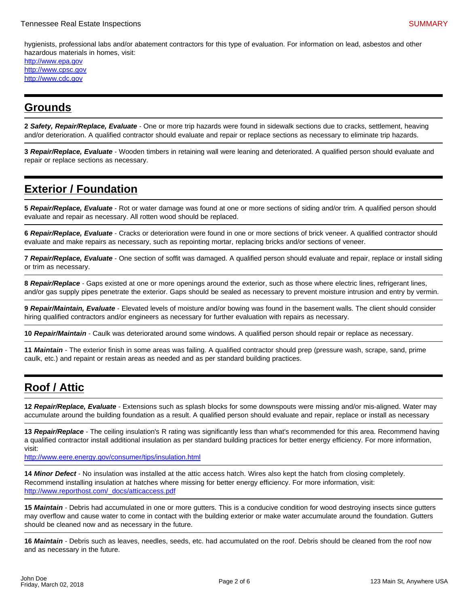hygienists, professional labs and/or abatement contractors for this type of evaluation. For information on lead, asbestos and other hazardous materials in homes, visit:

[http://www.epa.gov](http://www.epa.gov/) [http://www.cpsc.gov](http://www.cpsc.gov/) [http://www.cdc.gov](http://www.cdc.gov/)

#### **Grounds**

**2 Safety, Repair/Replace, Evaluate** - One or more trip hazards were found in sidewalk sections due to cracks, settlement, heaving and/or deterioration. A qualified contractor should evaluate and repair or replace sections as necessary to eliminate trip hazards.

**3 Repair/Replace, Evaluate** - Wooden timbers in retaining wall were leaning and deteriorated. A qualified person should evaluate and repair or replace sections as necessary.

## **Exterior / Foundation**

**5 Repair/Replace, Evaluate** - Rot or water damage was found at one or more sections of siding and/or trim. A qualified person should evaluate and repair as necessary. All rotten wood should be replaced.

**6 Repair/Replace, Evaluate** - Cracks or deterioration were found in one or more sections of brick veneer. A qualified contractor should evaluate and make repairs as necessary, such as repointing mortar, replacing bricks and/or sections of veneer.

**7 Repair/Replace, Evaluate** - One section of soffit was damaged. A qualified person should evaluate and repair, replace or install siding or trim as necessary.

**8 Repair/Replace** - Gaps existed at one or more openings around the exterior, such as those where electric lines, refrigerant lines, and/or gas supply pipes penetrate the exterior. Gaps should be sealed as necessary to prevent moisture intrusion and entry by vermin.

**9 Repair/Maintain, Evaluate** - Elevated levels of moisture and/or bowing was found in the basement walls. The client should consider hiring qualified contractors and/or engineers as necessary for further evaluation with repairs as necessary.

**10 Repair/Maintain** - Caulk was deteriorated around some windows. A qualified person should repair or replace as necessary.

**11 Maintain** - The exterior finish in some areas was failing. A qualified contractor should prep (pressure wash, scrape, sand, prime caulk, etc.) and repaint or restain areas as needed and as per standard building practices.

## **Roof / Attic**

**12 Repair/Replace, Evaluate** - Extensions such as splash blocks for some downspouts were missing and/or mis-aligned. Water may accumulate around the building foundation as a result. A qualified person should evaluate and repair, replace or install as necessary

**13 Repair/Replace** - The ceiling insulation's R rating was significantly less than what's recommended for this area. Recommend having a qualified contractor install additional insulation as per standard building practices for better energy efficiency. For more information, visit:

<http://www.eere.energy.gov/consumer/tips/insulation.html>

**14 Minor Defect** - No insulation was installed at the attic access hatch. Wires also kept the hatch from closing completely. Recommend installing insulation at hatches where missing for better energy efficiency. For more information, visit: [http://www.reporthost.com/\\_docs/atticaccess.pdf](http://www.reporthost.com/_docs/atticaccess.pdf)

**15 Maintain** - Debris had accumulated in one or more gutters. This is a conducive condition for wood destroying insects since gutters may overflow and cause water to come in contact with the building exterior or make water accumulate around the foundation. Gutters should be cleaned now and as necessary in the future.

**16 Maintain** - Debris such as leaves, needles, seeds, etc. had accumulated on the roof. Debris should be cleaned from the roof now and as necessary in the future.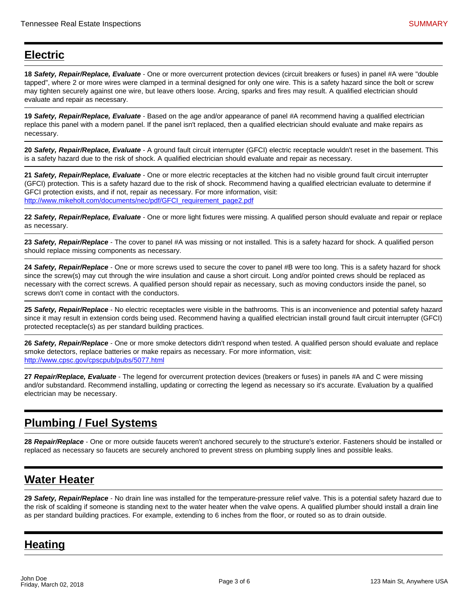## **Electric**

**18 Safety, Repair/Replace, Evaluate** - One or more overcurrent protection devices (circuit breakers or fuses) in panel #A were "double tapped", where 2 or more wires were clamped in a terminal designed for only one wire. This is a safety hazard since the bolt or screw may tighten securely against one wire, but leave others loose. Arcing, sparks and fires may result. A qualified electrician should evaluate and repair as necessary.

**19 Safety, Repair/Replace, Evaluate** - Based on the age and/or appearance of panel #A recommend having a qualified electrician replace this panel with a modern panel. If the panel isn't replaced, then a qualified electrician should evaluate and make repairs as necessary.

**20 Safety, Repair/Replace, Evaluate** - A ground fault circuit interrupter (GFCI) electric receptacle wouldn't reset in the basement. This is a safety hazard due to the risk of shock. A qualified electrician should evaluate and repair as necessary.

**21 Safety, Repair/Replace, Evaluate** - One or more electric receptacles at the kitchen had no visible ground fault circuit interrupter (GFCI) protection. This is a safety hazard due to the risk of shock. Recommend having a qualified electrician evaluate to determine if GFCI protection exists, and if not, repair as necessary. For more information, visit: [http://www.mikeholt.com/documents/nec/pdf/GFCI\\_requirement\\_page2.pdf](http://www.mikeholt.com/documents/nec/pdf/GFCI_requirement_page2.pdf)

**22 Safety, Repair/Replace, Evaluate** - One or more light fixtures were missing. A qualified person should evaluate and repair or replace as necessary.

**23 Safety, Repair/Replace** - The cover to panel #A was missing or not installed. This is a safety hazard for shock. A qualified person should replace missing components as necessary.

**24 Safety, Repair/Replace** - One or more screws used to secure the cover to panel #B were too long. This is a safety hazard for shock since the screw(s) may cut through the wire insulation and cause a short circuit. Long and/or pointed crews should be replaced as necessary with the correct screws. A qualified person should repair as necessary, such as moving conductors inside the panel, so screws don't come in contact with the conductors.

**25 Safety, Repair/Replace** - No electric receptacles were visible in the bathrooms. This is an inconvenience and potential safety hazard since it may result in extension cords being used. Recommend having a qualified electrician install ground fault circuit interrupter (GFCI) protected receptacle(s) as per standard building practices.

**26 Safety, Repair/Replace** - One or more smoke detectors didn't respond when tested. A qualified person should evaluate and replace smoke detectors, replace batteries or make repairs as necessary. For more information, visit: <http://www.cpsc.gov/cpscpub/pubs/5077.html>

**27 Repair/Replace, Evaluate** - The legend for overcurrent protection devices (breakers or fuses) in panels #A and C were missing and/or substandard. Recommend installing, updating or correcting the legend as necessary so it's accurate. Evaluation by a qualified electrician may be necessary.

# **Plumbing / Fuel Systems**

**28 Repair/Replace** - One or more outside faucets weren't anchored securely to the structure's exterior. Fasteners should be installed or replaced as necessary so faucets are securely anchored to prevent stress on plumbing supply lines and possible leaks.

### **Water Heater**

**29 Safety, Repair/Replace** - No drain line was installed for the temperature-pressure relief valve. This is a potential safety hazard due to the risk of scalding if someone is standing next to the water heater when the valve opens. A qualified plumber should install a drain line as per standard building practices. For example, extending to 6 inches from the floor, or routed so as to drain outside.

## **Heating**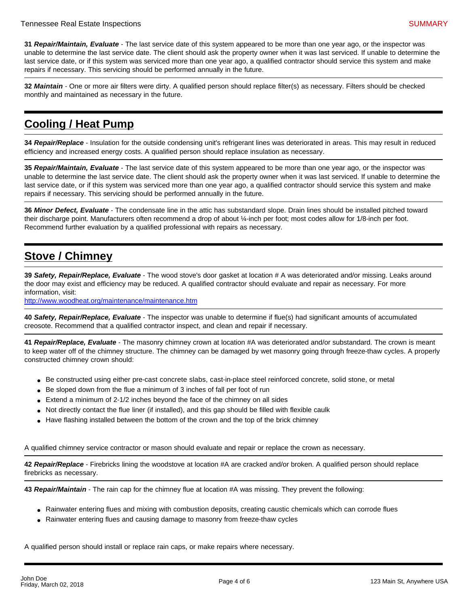**31 Repair/Maintain, Evaluate** - The last service date of this system appeared to be more than one year ago, or the inspector was unable to determine the last service date. The client should ask the property owner when it was last serviced. If unable to determine the last service date, or if this system was serviced more than one year ago, a qualified contractor should service this system and make repairs if necessary. This servicing should be performed annually in the future.

**32 Maintain** - One or more air filters were dirty. A qualified person should replace filter(s) as necessary. Filters should be checked monthly and maintained as necessary in the future.

# **Cooling / Heat Pump**

**34 Repair/Replace** - Insulation for the outside condensing unit's refrigerant lines was deteriorated in areas. This may result in reduced efficiency and increased energy costs. A qualified person should replace insulation as necessary.

**35 Repair/Maintain, Evaluate** - The last service date of this system appeared to be more than one year ago, or the inspector was unable to determine the last service date. The client should ask the property owner when it was last serviced. If unable to determine the last service date, or if this system was serviced more than one year ago, a qualified contractor should service this system and make repairs if necessary. This servicing should be performed annually in the future.

**36 Minor Defect, Evaluate** - The condensate line in the attic has substandard slope. Drain lines should be installed pitched toward their discharge point. Manufacturers often recommend a drop of about ¼-inch per foot; most codes allow for 1/8-inch per foot. Recommend further evaluation by a qualified professional with repairs as necessary.

# **Stove / Chimney**

**39 Safety, Repair/Replace, Evaluate** - The wood stove's door gasket at location # A was deteriorated and/or missing. Leaks around the door may exist and efficiency may be reduced. A qualified contractor should evaluate and repair as necessary. For more information, visit:

<http://www.woodheat.org/maintenance/maintenance.htm>

**40 Safety, Repair/Replace, Evaluate** - The inspector was unable to determine if flue(s) had significant amounts of accumulated creosote. Recommend that a qualified contractor inspect, and clean and repair if necessary.

**41 Repair/Replace, Evaluate** - The masonry chimney crown at location #A was deteriorated and/or substandard. The crown is meant to keep water off of the chimney structure. The chimney can be damaged by wet masonry going through freeze-thaw cycles. A properly constructed chimney crown should:

- Be constructed using either pre-cast concrete slabs, cast-in-place steel reinforced concrete, solid stone, or metal
- Be sloped down from the flue a minimum of 3 inches of fall per foot of run
- Extend a minimum of 2-1/2 inches beyond the face of the chimney on all sides
- Not directly contact the flue liner (if installed), and this gap should be filled with flexible caulk
- Have flashing installed between the bottom of the crown and the top of the brick chimney

A qualified chimney service contractor or mason should evaluate and repair or replace the crown as necessary.

**42 Repair/Replace** - Firebricks lining the woodstove at location #A are cracked and/or broken. A qualified person should replace firebricks as necessary.

**43 Repair/Maintain** - The rain cap for the chimney flue at location #A was missing. They prevent the following:

- Rainwater entering flues and mixing with combustion deposits, creating caustic chemicals which can corrode flues
- Rainwater entering flues and causing damage to masonry from freeze-thaw cycles

A qualified person should install or replace rain caps, or make repairs where necessary.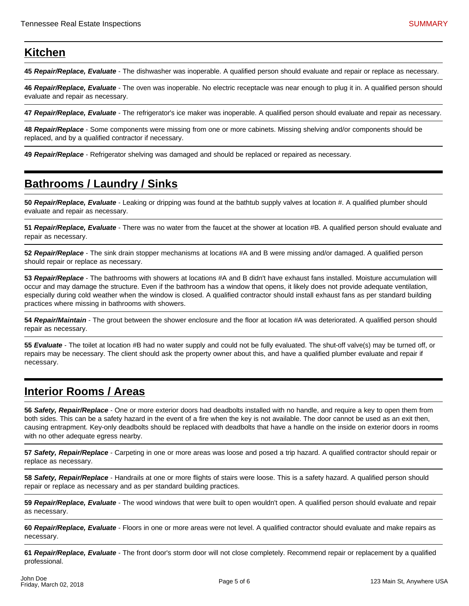#### **Kitchen**

**45 Repair/Replace, Evaluate** - The dishwasher was inoperable. A qualified person should evaluate and repair or replace as necessary.

**46 Repair/Replace, Evaluate** - The oven was inoperable. No electric receptacle was near enough to plug it in. A qualified person should evaluate and repair as necessary.

**47 Repair/Replace, Evaluate** - The refrigerator's ice maker was inoperable. A qualified person should evaluate and repair as necessary.

**48 Repair/Replace** - Some components were missing from one or more cabinets. Missing shelving and/or components should be replaced, and by a qualified contractor if necessary.

**49 Repair/Replace** - Refrigerator shelving was damaged and should be replaced or repaired as necessary.

## **Bathrooms / Laundry / Sinks**

**50 Repair/Replace, Evaluate** - Leaking or dripping was found at the bathtub supply valves at location #. A qualified plumber should evaluate and repair as necessary.

**51 Repair/Replace, Evaluate** - There was no water from the faucet at the shower at location #B. A qualified person should evaluate and repair as necessary.

**52 Repair/Replace** - The sink drain stopper mechanisms at locations #A and B were missing and/or damaged. A qualified person should repair or replace as necessary.

**53 Repair/Replace** - The bathrooms with showers at locations #A and B didn't have exhaust fans installed. Moisture accumulation will occur and may damage the structure. Even if the bathroom has a window that opens, it likely does not provide adequate ventilation, especially during cold weather when the window is closed. A qualified contractor should install exhaust fans as per standard building practices where missing in bathrooms with showers.

**54 Repair/Maintain** - The grout between the shower enclosure and the floor at location #A was deteriorated. A qualified person should repair as necessary.

**55 Evaluate** - The toilet at location #B had no water supply and could not be fully evaluated. The shut-off valve(s) may be turned off, or repairs may be necessary. The client should ask the property owner about this, and have a qualified plumber evaluate and repair if necessary.

### **Interior Rooms / Areas**

**56 Safety, Repair/Replace** - One or more exterior doors had deadbolts installed with no handle, and require a key to open them from both sides. This can be a safety hazard in the event of a fire when the key is not available. The door cannot be used as an exit then, causing entrapment. Key-only deadbolts should be replaced with deadbolts that have a handle on the inside on exterior doors in rooms with no other adequate egress nearby.

**57 Safety, Repair/Replace** - Carpeting in one or more areas was loose and posed a trip hazard. A qualified contractor should repair or replace as necessary.

**58 Safety, Repair/Replace** - Handrails at one or more flights of stairs were loose. This is a safety hazard. A qualified person should repair or replace as necessary and as per standard building practices.

**59 Repair/Replace, Evaluate** - The wood windows that were built to open wouldn't open. A qualified person should evaluate and repair as necessary.

**60 Repair/Replace, Evaluate** - Floors in one or more areas were not level. A qualified contractor should evaluate and make repairs as necessary.

**61 Repair/Replace, Evaluate** - The front door's storm door will not close completely. Recommend repair or replacement by a qualified professional.